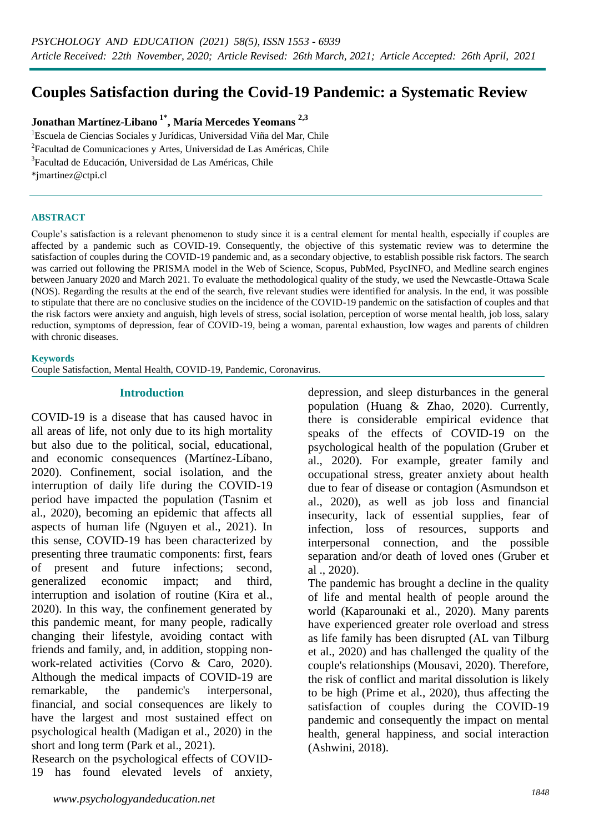# **Couples Satisfaction during the Covid-19 Pandemic: a Systematic Review**

### **Jonathan Martínez-Libano 1\* , María Mercedes Yeomans 2,3**

<sup>1</sup>Escuela de Ciencias Sociales y Jurídicas, Universidad Viña del Mar, Chile <sup>2</sup>Facultad de Comunicaciones y Artes, Universidad de Las Américas, Chile 3 Facultad de Educación, Universidad de Las Américas, Chile \*jmartinez@ctpi.cl

#### **ABSTRACT**

Couple's satisfaction is a relevant phenomenon to study since it is a central element for mental health, especially if couples are affected by a pandemic such as COVID-19. Consequently, the objective of this systematic review was to determine the satisfaction of couples during the COVID-19 pandemic and, as a secondary objective, to establish possible risk factors. The search was carried out following the PRISMA model in the Web of Science, Scopus, PubMed, PsycINFO, and Medline search engines between January 2020 and March 2021. To evaluate the methodological quality of the study, we used the Newcastle-Ottawa Scale (NOS). Regarding the results at the end of the search, five relevant studies were identified for analysis. In the end, it was possible to stipulate that there are no conclusive studies on the incidence of the COVID-19 pandemic on the satisfaction of couples and that the risk factors were anxiety and anguish, high levels of stress, social isolation, perception of worse mental health, job loss, salary reduction, symptoms of depression, fear of COVID-19, being a woman, parental exhaustion, low wages and parents of children with chronic diseases.

#### **Keywords**

Couple Satisfaction, Mental Health, COVID-19, Pandemic, Coronavirus.

#### **Introduction**

COVID-19 is a disease that has caused havoc in all areas of life, not only due to its high mortality but also due to the political, social, educational, and economic consequences (Martínez-Líbano, 2020). Confinement, social isolation, and the interruption of daily life during the COVID-19 period have impacted the population (Tasnim et al., 2020), becoming an epidemic that affects all aspects of human life (Nguyen et al., 2021). In this sense, COVID-19 has been characterized by presenting three traumatic components: first, fears of present and future infections; second, generalized economic impact; and third, interruption and isolation of routine (Kira et al., 2020). In this way, the confinement generated by this pandemic meant, for many people, radically changing their lifestyle, avoiding contact with friends and family, and, in addition, stopping nonwork-related activities (Corvo & Caro, 2020). Although the medical impacts of COVID-19 are remarkable, the pandemic's interpersonal, financial, and social consequences are likely to have the largest and most sustained effect on psychological health (Madigan et al., 2020) in the short and long term (Park et al., 2021).

Research on the psychological effects of COVID-19 has found elevated levels of anxiety, depression, and sleep disturbances in the general population (Huang & Zhao, 2020). Currently, there is considerable empirical evidence that speaks of the effects of COVID-19 on the psychological health of the population (Gruber et al., 2020). For example, greater family and occupational stress, greater anxiety about health due to fear of disease or contagion (Asmundson et al., 2020), as well as job loss and financial insecurity, lack of essential supplies, fear of infection, loss of resources, supports and interpersonal connection, and the possible separation and/or death of loved ones (Gruber et al ., 2020).

The pandemic has brought a decline in the quality of life and mental health of people around the world (Kaparounaki et al., 2020). Many parents have experienced greater role overload and stress as life family has been disrupted (AL van Tilburg et al., 2020) and has challenged the quality of the couple's relationships (Mousavi, 2020). Therefore, the risk of conflict and marital dissolution is likely to be high (Prime et al., 2020), thus affecting the satisfaction of couples during the COVID-19 pandemic and consequently the impact on mental health, general happiness, and social interaction (Ashwini, 2018).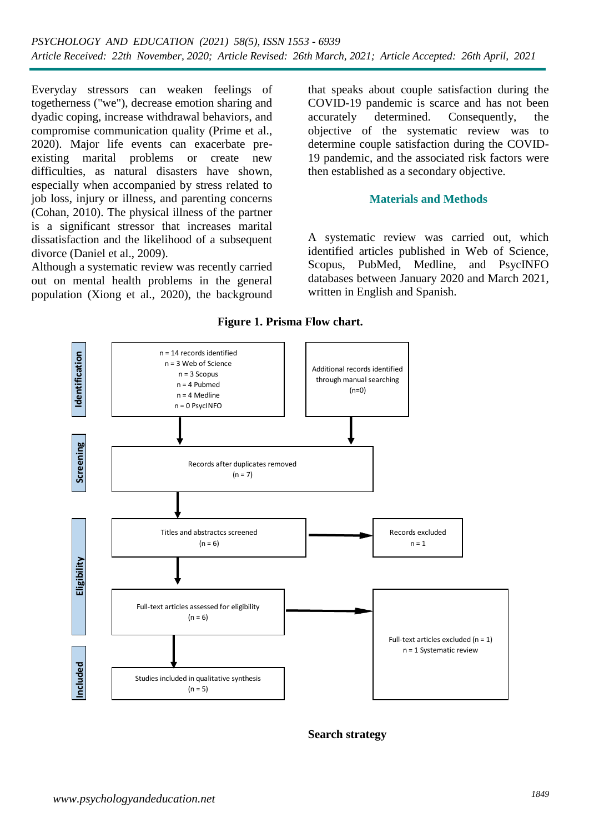Everyday stressors can weaken feelings of togetherness ("we"), decrease emotion sharing and dyadic coping, increase withdrawal behaviors, and compromise communication quality (Prime et al., 2020). Major life events can exacerbate preexisting marital problems or create new difficulties, as natural disasters have shown, especially when accompanied by stress related to job loss, injury or illness, and parenting concerns (Cohan, 2010). The physical illness of the partner is a significant stressor that increases marital dissatisfaction and the likelihood of a subsequent divorce (Daniel et al., 2009).

Although a systematic review was recently carried out on mental health problems in the general population (Xiong et al., 2020), the background that speaks about couple satisfaction during the COVID-19 pandemic is scarce and has not been accurately determined. Consequently, the objective of the systematic review was to determine couple satisfaction during the COVID-19 pandemic, and the associated risk factors were then established as a secondary objective.

#### **Materials and Methods**

A systematic review was carried out, which identified articles published in Web of Science, Scopus, PubMed, Medline, and PsycINFO databases between January 2020 and March 2021, written in English and Spanish.



**Figure 1. Prisma Flow chart.**

#### **Search strategy**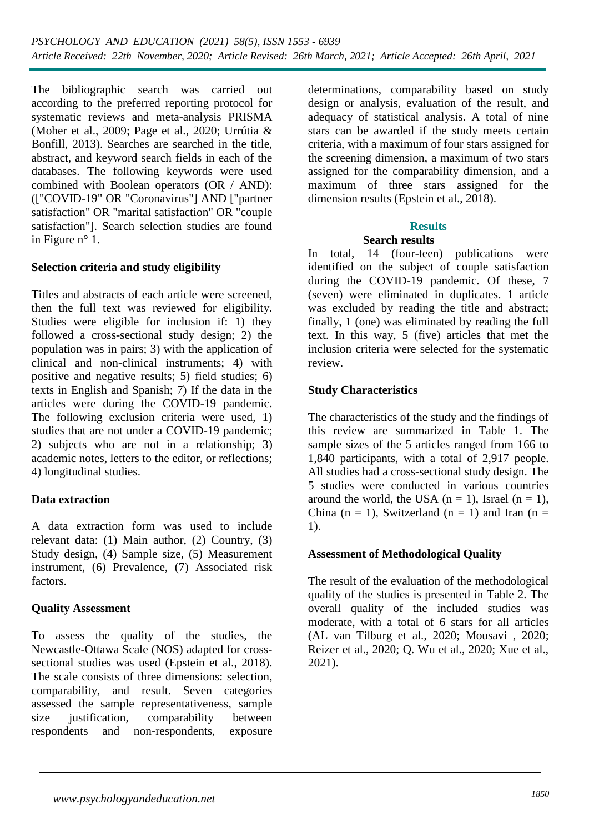The bibliographic search was carried out according to the preferred reporting protocol for systematic reviews and meta-analysis PRISMA (Moher et al., 2009; Page et al., 2020; Urrútia & Bonfill, 2013). Searches are searched in the title, abstract, and keyword search fields in each of the databases. The following keywords were used combined with Boolean operators (OR / AND): (["COVID-19" OR "Coronavirus"] AND ["partner satisfaction" OR "marital satisfaction" OR "couple satisfaction"]. Search selection studies are found in Figure n° 1.

### **Selection criteria and study eligibility**

Titles and abstracts of each article were screened, then the full text was reviewed for eligibility. Studies were eligible for inclusion if: 1) they followed a cross-sectional study design; 2) the population was in pairs; 3) with the application of clinical and non-clinical instruments; 4) with positive and negative results; 5) field studies; 6) texts in English and Spanish; 7) If the data in the articles were during the COVID-19 pandemic. The following exclusion criteria were used, 1) studies that are not under a COVID-19 pandemic; 2) subjects who are not in a relationship; 3) academic notes, letters to the editor, or reflections; 4) longitudinal studies.

### **Data extraction**

A data extraction form was used to include relevant data: (1) Main author, (2) Country, (3) Study design, (4) Sample size, (5) Measurement instrument, (6) Prevalence, (7) Associated risk factors.

### **Quality Assessment**

To assess the quality of the studies, the Newcastle-Ottawa Scale (NOS) adapted for crosssectional studies was used (Epstein et al., 2018). The scale consists of three dimensions: selection, comparability, and result. Seven categories assessed the sample representativeness, sample size justification, comparability between respondents and non-respondents, exposure

determinations, comparability based on study design or analysis, evaluation of the result, and adequacy of statistical analysis. A total of nine stars can be awarded if the study meets certain criteria, with a maximum of four stars assigned for the screening dimension, a maximum of two stars assigned for the comparability dimension, and a maximum of three stars assigned for the dimension results (Epstein et al., 2018).

## **Results**

### **Search results**

In total, 14 (four-teen) publications were identified on the subject of couple satisfaction during the COVID-19 pandemic. Of these, 7 (seven) were eliminated in duplicates. 1 article was excluded by reading the title and abstract; finally, 1 (one) was eliminated by reading the full text. In this way, 5 (five) articles that met the inclusion criteria were selected for the systematic review.

### **Study Characteristics**

The characteristics of the study and the findings of this review are summarized in Table 1. The sample sizes of the 5 articles ranged from 166 to 1,840 participants, with a total of 2,917 people. All studies had a cross-sectional study design. The 5 studies were conducted in various countries around the world, the USA  $(n = 1)$ , Israel  $(n = 1)$ , China (n = 1), Switzerland (n = 1) and Iran (n = 1).

### **Assessment of Methodological Quality**

The result of the evaluation of the methodological quality of the studies is presented in Table 2. The overall quality of the included studies was moderate, with a total of 6 stars for all articles (AL van Tilburg et al., 2020; Mousavi , 2020; Reizer et al., 2020; Q. Wu et al., 2020; Xue et al., 2021).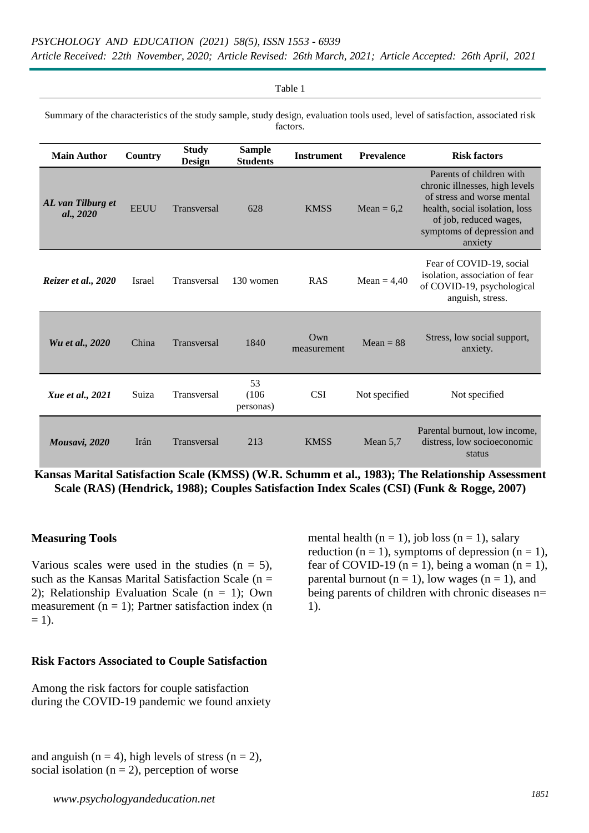*Article Received: 22th November, 2020; Article Revised: 26th March, 2021; Article Accepted: 26th April, 2021*

| Table 1                                                                                                                                     |             |                               |                                  |                       |                   |                                                                                                                                                                                               |  |  |  |  |  |  |  |
|---------------------------------------------------------------------------------------------------------------------------------------------|-------------|-------------------------------|----------------------------------|-----------------------|-------------------|-----------------------------------------------------------------------------------------------------------------------------------------------------------------------------------------------|--|--|--|--|--|--|--|
| Summary of the characteristics of the study sample, study design, evaluation tools used, level of satisfaction, associated risk<br>factors. |             |                               |                                  |                       |                   |                                                                                                                                                                                               |  |  |  |  |  |  |  |
| <b>Main Author</b>                                                                                                                          | Country     | <b>Study</b><br><b>Design</b> | <b>Sample</b><br><b>Students</b> | <b>Instrument</b>     | <b>Prevalence</b> | <b>Risk factors</b>                                                                                                                                                                           |  |  |  |  |  |  |  |
| AL van Tilburg et<br>al., 2020                                                                                                              | <b>EEUU</b> | Transversal                   | 628                              | <b>KMSS</b>           | Mean = $6,2$      | Parents of children with<br>chronic illnesses, high levels<br>of stress and worse mental<br>health, social isolation, loss<br>of job, reduced wages,<br>symptoms of depression and<br>anxiety |  |  |  |  |  |  |  |
| Reizer et al., 2020                                                                                                                         | Israel      | Transversal                   | 130 women                        | <b>RAS</b>            | Mean = $4,40$     | Fear of COVID-19, social<br>isolation, association of fear<br>of COVID-19, psychological<br>anguish, stress.                                                                                  |  |  |  |  |  |  |  |
| Wu et al., 2020                                                                                                                             | China       | Transversal                   | 1840                             | $Qw$ n<br>measurement | $Mean = 88$       | Stress, low social support,<br>anxiety.                                                                                                                                                       |  |  |  |  |  |  |  |
| <i>Xue et al., 2021</i>                                                                                                                     | Suiza       | Transversal                   | 53<br>(106)<br>personas)         | <b>CSI</b>            | Not specified     | Not specified                                                                                                                                                                                 |  |  |  |  |  |  |  |
| Mousavi, 2020                                                                                                                               | Irán        | Transversal                   | 213                              | <b>KMSS</b>           | Mean $5.7$        | Parental burnout, low income,<br>distress, low socioeconomic<br>status                                                                                                                        |  |  |  |  |  |  |  |

**Kansas Marital Satisfaction Scale (KMSS) (W.R. Schumm et al., 1983); The Relationship Assessment Scale (RAS) (Hendrick, 1988); Couples Satisfaction Index Scales (CSI) (Funk & Rogge, 2007)**

#### **Measuring Tools**

Various scales were used in the studies  $(n = 5)$ , such as the Kansas Marital Satisfaction Scale ( $n =$ 2); Relationship Evaluation Scale (n = 1); Own measurement  $(n = 1)$ ; Partner satisfaction index  $(n = 1)$  $= 1$ ).

### mental health  $(n = 1)$ , job loss  $(n = 1)$ , salary reduction ( $n = 1$ ), symptoms of depression ( $n = 1$ ), fear of COVID-19 ( $n = 1$ ), being a woman ( $n = 1$ ), parental burnout ( $n = 1$ ), low wages ( $n = 1$ ), and being parents of children with chronic diseases n= 1).

#### **Risk Factors Associated to Couple Satisfaction**

Among the risk factors for couple satisfaction during the COVID-19 pandemic we found anxiety

and anguish ( $n = 4$ ), high levels of stress ( $n = 2$ ), social isolation  $(n = 2)$ , perception of worse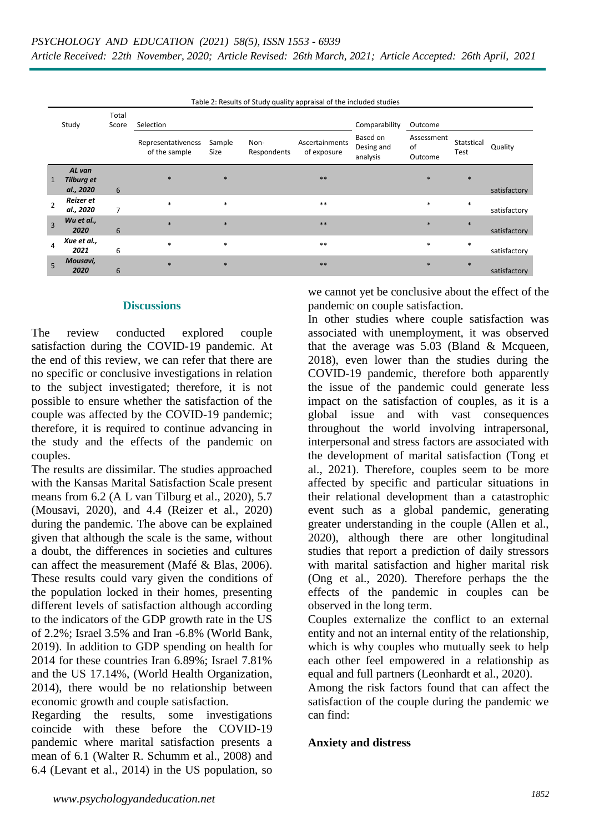| Table 2: Results of Study quality appraisal of the included studies |                                          |                |                                     |                |                     |                               |                                    |                             |                    |              |  |
|---------------------------------------------------------------------|------------------------------------------|----------------|-------------------------------------|----------------|---------------------|-------------------------------|------------------------------------|-----------------------------|--------------------|--------------|--|
| Study                                                               |                                          | Total<br>Score | Selection                           | Comparability  | Outcome             |                               |                                    |                             |                    |              |  |
|                                                                     |                                          |                | Representativeness<br>of the sample | Sample<br>Size | Non-<br>Respondents | Ascertainments<br>of exposure | Based on<br>Desing and<br>analysis | Assessment<br>οf<br>Outcome | Statstical<br>Test | Quality      |  |
| $\mathbf{1}$                                                        | AL van<br><b>Tilburg et</b><br>al., 2020 | 6              | $*$                                 | $\ast$         |                     | $**$                          |                                    | $\ast$                      | $*$                | satisfactory |  |
| 2                                                                   | Reizer et<br>al., 2020                   | 7              | $\ast$                              | $\ast$         |                     | $**$                          |                                    | $\ast$                      | $\ast$             | satisfactory |  |
| $\overline{3}$                                                      | Wu et al.,<br>2020                       | 6              | $*$                                 | $*$            |                     | $**$                          |                                    | $\ast$                      | $*$                | satisfactory |  |
| 4                                                                   | Xue et al.,<br>2021                      | 6              | $\ast$                              | $\ast$         |                     | $***$                         |                                    | $\ast$                      | $\ast$             | satisfactory |  |
| 5                                                                   | Mousavi,<br>2020                         | 6              | $*$                                 | $*$            |                     | $***$                         |                                    | $\ast$                      | $\ast$             | satisfactory |  |

Table 2: Results of Study quality appraisal of the included studies

#### **Discussions**

The review conducted explored couple satisfaction during the COVID-19 pandemic. At the end of this review, we can refer that there are no specific or conclusive investigations in relation to the subject investigated; therefore, it is not possible to ensure whether the satisfaction of the couple was affected by the COVID-19 pandemic; therefore, it is required to continue advancing in the study and the effects of the pandemic on couples.

The results are dissimilar. The studies approached with the Kansas Marital Satisfaction Scale present means from 6.2 (A L van Tilburg et al., 2020), 5.7 (Mousavi, 2020), and 4.4 (Reizer et al., 2020) during the pandemic. The above can be explained given that although the scale is the same, without a doubt, the differences in societies and cultures can affect the measurement (Mafé & Blas, 2006). These results could vary given the conditions of the population locked in their homes, presenting different levels of satisfaction although according to the indicators of the GDP growth rate in the US of 2.2%; Israel 3.5% and Iran -6.8% (World Bank, 2019). In addition to GDP spending on health for 2014 for these countries Iran 6.89%; Israel 7.81% and the US 17.14%, (World Health Organization, 2014), there would be no relationship between economic growth and couple satisfaction.

Regarding the results, some investigations coincide with these before the COVID-19 pandemic where marital satisfaction presents a mean of 6.1 (Walter R. Schumm et al., 2008) and 6.4 (Levant et al., 2014) in the US population, so

we cannot yet be conclusive about the effect of the pandemic on couple satisfaction.

In other studies where couple satisfaction was associated with unemployment, it was observed that the average was  $5.03$  (Bland & Mcqueen, 2018), even lower than the studies during the COVID-19 pandemic, therefore both apparently the issue of the pandemic could generate less impact on the satisfaction of couples, as it is a global issue and with vast consequences throughout the world involving intrapersonal, interpersonal and stress factors are associated with the development of marital satisfaction (Tong et al., 2021). Therefore, couples seem to be more affected by specific and particular situations in their relational development than a catastrophic event such as a global pandemic, generating greater understanding in the couple (Allen et al., 2020), although there are other longitudinal studies that report a prediction of daily stressors with marital satisfaction and higher marital risk (Ong et al., 2020). Therefore perhaps the the effects of the pandemic in couples can be observed in the long term.

Couples externalize the conflict to an external entity and not an internal entity of the relationship, which is why couples who mutually seek to help each other feel empowered in a relationship as equal and full partners (Leonhardt et al., 2020).

Among the risk factors found that can affect the satisfaction of the couple during the pandemic we can find:

#### **Anxiety and distress**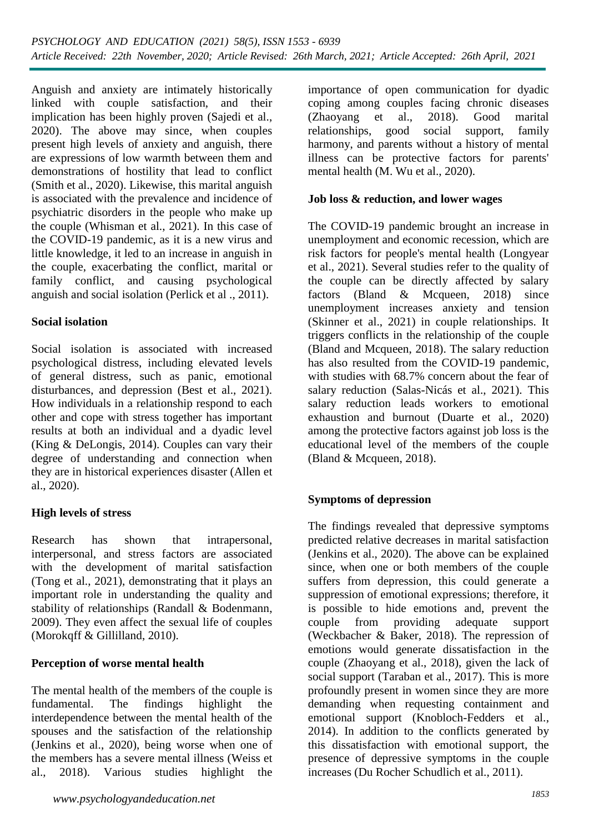Anguish and anxiety are intimately historically linked with couple satisfaction, and their implication has been highly proven (Sajedi et al., 2020). The above may since, when couples present high levels of anxiety and anguish, there are expressions of low warmth between them and demonstrations of hostility that lead to conflict (Smith et al., 2020). Likewise, this marital anguish is associated with the prevalence and incidence of psychiatric disorders in the people who make up the couple (Whisman et al., 2021). In this case of the COVID-19 pandemic, as it is a new virus and little knowledge, it led to an increase in anguish in the couple, exacerbating the conflict, marital or family conflict, and causing psychological anguish and social isolation (Perlick et al ., 2011).

### **Social isolation**

Social isolation is associated with increased psychological distress, including elevated levels of general distress, such as panic, emotional disturbances, and depression (Best et al., 2021). How individuals in a relationship respond to each other and cope with stress together has important results at both an individual and a dyadic level (King & DeLongis, 2014). Couples can vary their degree of understanding and connection when they are in historical experiences disaster (Allen et al., 2020).

### **High levels of stress**

Research has shown that intrapersonal, interpersonal, and stress factors are associated with the development of marital satisfaction (Tong et al., 2021), demonstrating that it plays an important role in understanding the quality and stability of relationships (Randall & Bodenmann, 2009). They even affect the sexual life of couples (Morokqff & Gillilland, 2010).

### **Perception of worse mental health**

The mental health of the members of the couple is fundamental. The findings highlight the interdependence between the mental health of the spouses and the satisfaction of the relationship (Jenkins et al., 2020), being worse when one of the members has a severe mental illness (Weiss et al., 2018). Various studies highlight the

*<sup>1853</sup> www.psychologyandeducation.net*

importance of open communication for dyadic coping among couples facing chronic diseases (Zhaoyang et al., 2018). Good marital relationships, good social support, family harmony, and parents without a history of mental illness can be protective factors for parents' mental health (M. Wu et al., 2020).

### **Job loss & reduction, and lower wages**

The COVID-19 pandemic brought an increase in unemployment and economic recession, which are risk factors for people's mental health (Longyear et al., 2021). Several studies refer to the quality of the couple can be directly affected by salary factors (Bland & Mcqueen, 2018) since unemployment increases anxiety and tension (Skinner et al., 2021) in couple relationships. It triggers conflicts in the relationship of the couple (Bland and Mcqueen, 2018). The salary reduction has also resulted from the COVID-19 pandemic, with studies with 68.7% concern about the fear of salary reduction (Salas-Nicás et al., 2021). This salary reduction leads workers to emotional exhaustion and burnout (Duarte et al., 2020) among the protective factors against job loss is the educational level of the members of the couple (Bland & Mcqueen, 2018).

### **Symptoms of depression**

The findings revealed that depressive symptoms predicted relative decreases in marital satisfaction (Jenkins et al., 2020). The above can be explained since, when one or both members of the couple suffers from depression, this could generate a suppression of emotional expressions; therefore, it is possible to hide emotions and, prevent the couple from providing adequate support (Weckbacher & Baker, 2018). The repression of emotions would generate dissatisfaction in the couple (Zhaoyang et al., 2018), given the lack of social support (Taraban et al., 2017). This is more profoundly present in women since they are more demanding when requesting containment and emotional support (Knobloch-Fedders et al., 2014). In addition to the conflicts generated by this dissatisfaction with emotional support, the presence of depressive symptoms in the couple increases (Du Rocher Schudlich et al., 2011).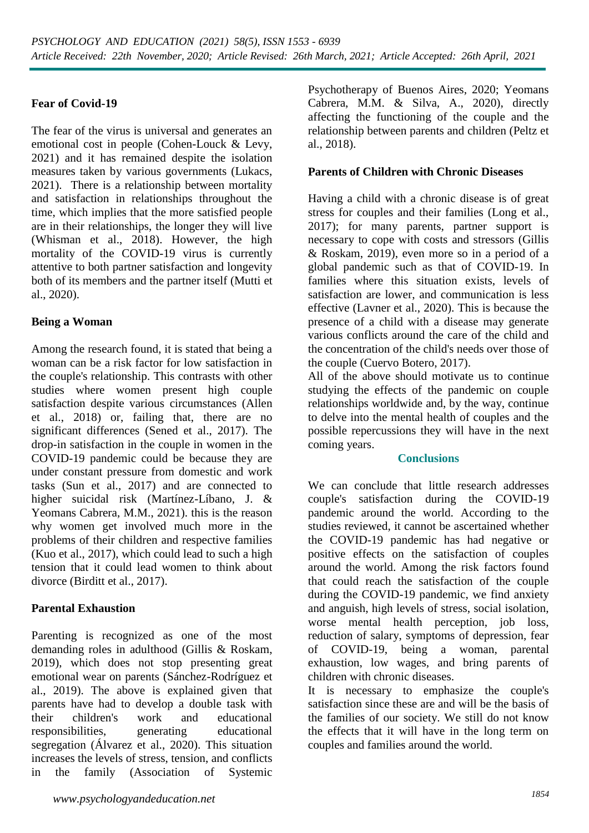### **Fear of Covid-19**

The fear of the virus is universal and generates an emotional cost in people (Cohen-Louck & Levy, 2021) and it has remained despite the isolation measures taken by various governments (Lukacs, 2021). There is a relationship between mortality and satisfaction in relationships throughout the time, which implies that the more satisfied people are in their relationships, the longer they will live (Whisman et al., 2018). However, the high mortality of the COVID-19 virus is currently attentive to both partner satisfaction and longevity both of its members and the partner itself (Mutti et al., 2020).

### **Being a Woman**

Among the research found, it is stated that being a woman can be a risk factor for low satisfaction in the couple's relationship. This contrasts with other studies where women present high couple satisfaction despite various circumstances (Allen et al., 2018) or, failing that, there are no significant differences (Sened et al., 2017). The drop-in satisfaction in the couple in women in the COVID-19 pandemic could be because they are under constant pressure from domestic and work tasks (Sun et al., 2017) and are connected to higher suicidal risk (Martínez-Líbano, J. & Yeomans Cabrera, M.M., 2021). this is the reason why women get involved much more in the problems of their children and respective families (Kuo et al., 2017), which could lead to such a high tension that it could lead women to think about divorce (Birditt et al., 2017).

### **Parental Exhaustion**

Parenting is recognized as one of the most demanding roles in adulthood (Gillis & Roskam, 2019), which does not stop presenting great emotional wear on parents (Sánchez-Rodríguez et al., 2019). The above is explained given that parents have had to develop a double task with their children's work and educational responsibilities, generating educational segregation (Álvarez et al., 2020). This situation increases the levels of stress, tension, and conflicts in the family (Association of Systemic

Psychotherapy of Buenos Aires, 2020; Yeomans Cabrera, M.M. & Silva, A., 2020), directly affecting the functioning of the couple and the relationship between parents and children (Peltz et al., 2018).

### **Parents of Children with Chronic Diseases**

Having a child with a chronic disease is of great stress for couples and their families (Long et al., 2017); for many parents, partner support is necessary to cope with costs and stressors (Gillis & Roskam, 2019), even more so in a period of a global pandemic such as that of COVID-19. In families where this situation exists, levels of satisfaction are lower, and communication is less effective (Lavner et al., 2020). This is because the presence of a child with a disease may generate various conflicts around the care of the child and the concentration of the child's needs over those of the couple (Cuervo Botero, 2017).

All of the above should motivate us to continue studying the effects of the pandemic on couple relationships worldwide and, by the way, continue to delve into the mental health of couples and the possible repercussions they will have in the next coming years.

### **Conclusions**

We can conclude that little research addresses couple's satisfaction during the COVID-19 pandemic around the world. According to the studies reviewed, it cannot be ascertained whether the COVID-19 pandemic has had negative or positive effects on the satisfaction of couples around the world. Among the risk factors found that could reach the satisfaction of the couple during the COVID-19 pandemic, we find anxiety and anguish, high levels of stress, social isolation, worse mental health perception, job loss, reduction of salary, symptoms of depression, fear of COVID-19, being a woman, parental exhaustion, low wages, and bring parents of children with chronic diseases.

It is necessary to emphasize the couple's satisfaction since these are and will be the basis of the families of our society. We still do not know the effects that it will have in the long term on couples and families around the world.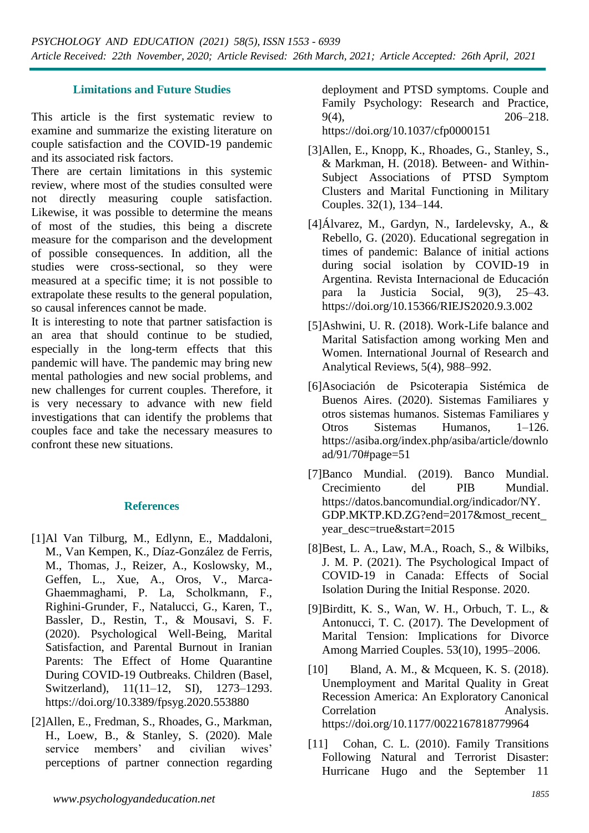### **Limitations and Future Studies**

This article is the first systematic review to examine and summarize the existing literature on couple satisfaction and the COVID-19 pandemic and its associated risk factors.

There are certain limitations in this systemic review, where most of the studies consulted were not directly measuring couple satisfaction. Likewise, it was possible to determine the means of most of the studies, this being a discrete measure for the comparison and the development of possible consequences. In addition, all the studies were cross-sectional, so they were measured at a specific time; it is not possible to extrapolate these results to the general population, so causal inferences cannot be made.

It is interesting to note that partner satisfaction is an area that should continue to be studied, especially in the long-term effects that this pandemic will have. The pandemic may bring new mental pathologies and new social problems, and new challenges for current couples. Therefore, it is very necessary to advance with new field investigations that can identify the problems that couples face and take the necessary measures to confront these new situations.

### **References**

- [1]Al Van Tilburg, M., Edlynn, E., Maddaloni, M., Van Kempen, K., Díaz-González de Ferris, M., Thomas, J., Reizer, A., Koslowsky, M., Geffen, L., Xue, A., Oros, V., Marca-Ghaemmaghami, P. La, Scholkmann, F., Righini-Grunder, F., Natalucci, G., Karen, T., Bassler, D., Restin, T., & Mousavi, S. F. (2020). Psychological Well-Being, Marital Satisfaction, and Parental Burnout in Iranian Parents: The Effect of Home Quarantine During COVID-19 Outbreaks. Children (Basel, Switzerland), 11(11–12, SI), 1273–1293. https://doi.org/10.3389/fpsyg.2020.553880
- [2]Allen, E., Fredman, S., Rhoades, G., Markman, H., Loew, B., & Stanley, S. (2020). Male service members' and civilian wives' perceptions of partner connection regarding

deployment and PTSD symptoms. Couple and Family Psychology: Research and Practice, 9(4), 206–218.

https://doi.org/10.1037/cfp0000151

- [3]Allen, E., Knopp, K., Rhoades, G., Stanley, S., & Markman, H. (2018). Between- and Within-Subject Associations of PTSD Symptom Clusters and Marital Functioning in Military Couples. 32(1), 134–144.
- [4]Álvarez, M., Gardyn, N., Iardelevsky, A., & Rebello, G. (2020). Educational segregation in times of pandemic: Balance of initial actions during social isolation by COVID-19 in Argentina. Revista Internacional de Educación para la Justicia Social, 9(3), 25–43. https://doi.org/10.15366/RIEJS2020.9.3.002
- [5]Ashwini, U. R. (2018). Work-Life balance and Marital Satisfaction among working Men and Women. International Journal of Research and Analytical Reviews, 5(4), 988–992.
- [6]Asociación de Psicoterapia Sistémica de Buenos Aires. (2020). Sistemas Familiares y otros sistemas humanos. Sistemas Familiares y Otros Sistemas Humanos, 1–126. https://asiba.org/index.php/asiba/article/downlo ad/91/70#page=51
- [7]Banco Mundial. (2019). Banco Mundial. Crecimiento del PIB Mundial. https://datos.bancomundial.org/indicador/NY. GDP.MKTP.KD.ZG?end=2017&most\_recent\_ year\_desc=true&start=2015
- [8]Best, L. A., Law, M.A., Roach, S., & Wilbiks, J. M. P. (2021). The Psychological Impact of COVID-19 in Canada: Effects of Social Isolation During the Initial Response. 2020.
- [9]Birditt, K. S., Wan, W. H., Orbuch, T. L., & Antonucci, T. C. (2017). The Development of Marital Tension: Implications for Divorce Among Married Couples. 53(10), 1995–2006.
- [10] Bland, A. M., & Mcqueen, K. S. (2018). Unemployment and Marital Quality in Great Recession America: An Exploratory Canonical Correlation Analysis. https://doi.org/10.1177/0022167818779964
- [11] Cohan, C. L. (2010). Family Transitions Following Natural and Terrorist Disaster: Hurricane Hugo and the September 11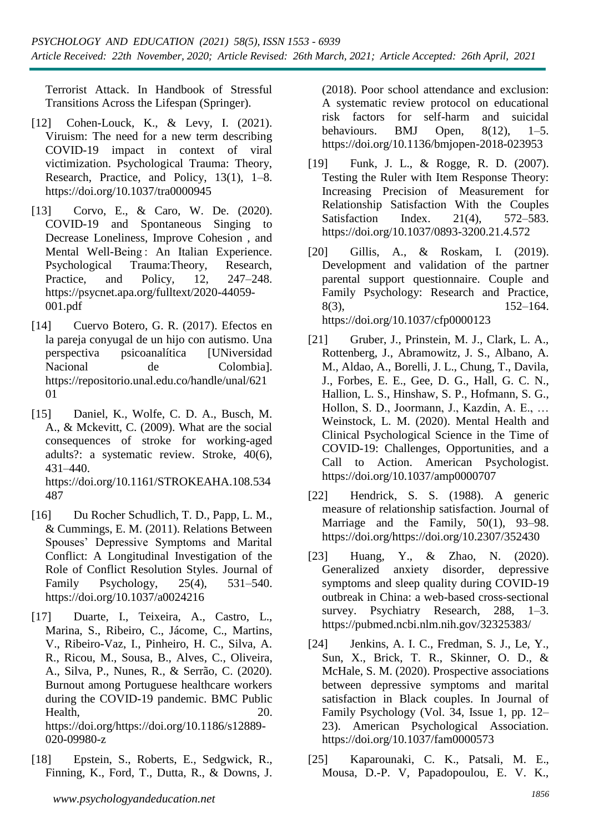Terrorist Attack. In Handbook of Stressful Transitions Across the Lifespan (Springer).

- [12] Cohen-Louck, K., & Levy, I. (2021). Viruism: The need for a new term describing COVID-19 impact in context of viral victimization. Psychological Trauma: Theory, Research, Practice, and Policy, 13(1), 1–8. https://doi.org/10.1037/tra0000945
- [13] Corvo, E., & Caro, W. De. (2020). COVID-19 and Spontaneous Singing to Decrease Loneliness, Improve Cohesion , and Mental Well-Being : An Italian Experience. Psychological Trauma:Theory, Research, Practice, and Policy, 12, 247–248. https://psycnet.apa.org/fulltext/2020-44059- 001.pdf
- [14] Cuervo Botero, G. R. (2017). Efectos en la pareja conyugal de un hijo con autismo. Una perspectiva psicoanalítica [UNiversidad Nacional de Colombia]. https://repositorio.unal.edu.co/handle/unal/621 01
- [15] Daniel, K., Wolfe, C. D. A., Busch, M. A., & Mckevitt, C. (2009). What are the social consequences of stroke for working-aged adults?: a systematic review. Stroke, 40(6), 431–440. https://doi.org/10.1161/STROKEAHA.108.534 487
- [16] Du Rocher Schudlich, T. D., Papp, L. M., & Cummings, E. M. (2011). Relations Between Spouses' Depressive Symptoms and Marital Conflict: A Longitudinal Investigation of the Role of Conflict Resolution Styles. Journal of Family Psychology, 25(4), 531–540. https://doi.org/10.1037/a0024216
- [17] Duarte, I., Teixeira, A., Castro, L., Marina, S., Ribeiro, C., Jácome, C., Martins, V., Ribeiro-Vaz, I., Pinheiro, H. C., Silva, A. R., Ricou, M., Sousa, B., Alves, C., Oliveira, A., Silva, P., Nunes, R., & Serrão, C. (2020). Burnout among Portuguese healthcare workers during the COVID-19 pandemic. BMC Public Health, 20. https://doi.org/https://doi.org/10.1186/s12889-

020-09980-z

[18] Epstein, S., Roberts, E., Sedgwick, R., Finning, K., Ford, T., Dutta, R., & Downs, J.

(2018). Poor school attendance and exclusion: A systematic review protocol on educational risk factors for self-harm and suicidal behaviours. BMJ Open,  $8(12)$ ,  $1-5$ . https://doi.org/10.1136/bmjopen-2018-023953

- [19] Funk, J. L., & Rogge, R. D. (2007). Testing the Ruler with Item Response Theory: Increasing Precision of Measurement for Relationship Satisfaction With the Couples Satisfaction Index. 21(4), 572–583. https://doi.org/10.1037/0893-3200.21.4.572
- [20] Gillis, A., & Roskam, I. (2019). Development and validation of the partner parental support questionnaire. Couple and Family Psychology: Research and Practice, 8(3), 152–164. https://doi.org/10.1037/cfp0000123
- [21] Gruber, J., Prinstein, M. J., Clark, L. A., Rottenberg, J., Abramowitz, J. S., Albano, A. M., Aldao, A., Borelli, J. L., Chung, T., Davila, J., Forbes, E. E., Gee, D. G., Hall, G. C. N., Hallion, L. S., Hinshaw, S. P., Hofmann, S. G., Hollon, S. D., Joormann, J., Kazdin, A. E., … Weinstock, L. M. (2020). Mental Health and Clinical Psychological Science in the Time of COVID-19: Challenges, Opportunities, and a Call to Action. American Psychologist. https://doi.org/10.1037/amp0000707
- [22] Hendrick, S. S. (1988). A generic measure of relationship satisfaction. Journal of Marriage and the Family, 50(1), 93–98. https://doi.org/https://doi.org/10.2307/352430
- [23] Huang, Y., & Zhao, N. (2020). Generalized anxiety disorder, depressive symptoms and sleep quality during COVID-19 outbreak in China: a web-based cross-sectional survey. Psychiatry Research, 288, 1–3. https://pubmed.ncbi.nlm.nih.gov/32325383/
- [24] Jenkins, A. I. C., Fredman, S. J., Le, Y., Sun, X., Brick, T. R., Skinner, O. D., & McHale, S. M. (2020). Prospective associations between depressive symptoms and marital satisfaction in Black couples. In Journal of Family Psychology (Vol. 34, Issue 1, pp. 12– 23). American Psychological Association. https://doi.org/10.1037/fam0000573
- [25] Kaparounaki, C. K., Patsali, M. E., Mousa, D.-P. V, Papadopoulou, E. V. K.,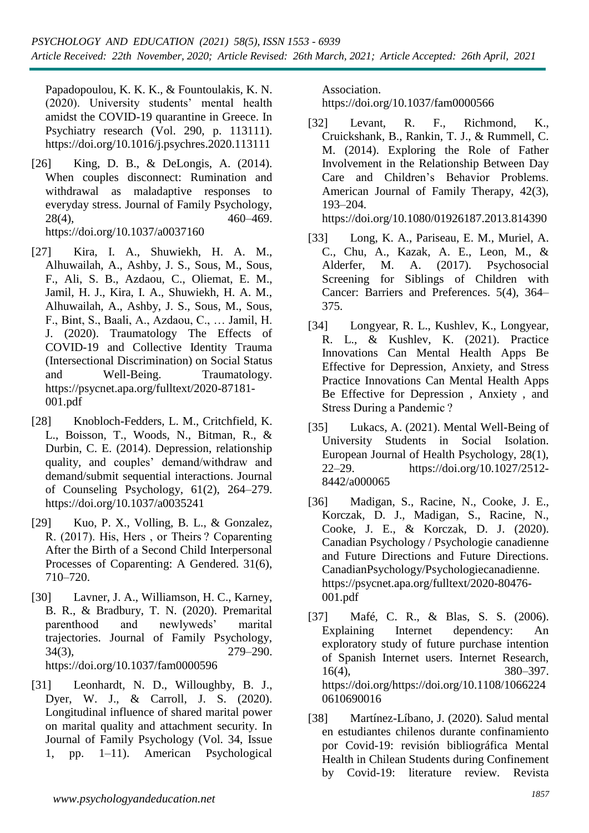Papadopoulou, K. K. K., & Fountoulakis, K. N. (2020). University students' mental health amidst the COVID-19 quarantine in Greece. In Psychiatry research (Vol. 290, p. 113111). https://doi.org/10.1016/j.psychres.2020.113111

- [26] King, D. B., & DeLongis, A. (2014). When couples disconnect: Rumination and withdrawal as maladaptive responses to everyday stress. Journal of Family Psychology, 28(4), 460–469. https://doi.org/10.1037/a0037160
- [27] Kira, I. A., Shuwiekh, H. A. M., Alhuwailah, A., Ashby, J. S., Sous, M., Sous, F., Ali, S. B., Azdaou, C., Oliemat, E. M., Jamil, H. J., Kira, I. A., Shuwiekh, H. A. M., Alhuwailah, A., Ashby, J. S., Sous, M., Sous, F., Bint, S., Baali, A., Azdaou, C., … Jamil, H. J. (2020). Traumatology The Effects of COVID-19 and Collective Identity Trauma (Intersectional Discrimination) on Social Status and Well-Being. Traumatology. https://psycnet.apa.org/fulltext/2020-87181- 001.pdf
- [28] Knobloch-Fedders, L. M., Critchfield, K. L., Boisson, T., Woods, N., Bitman, R., & Durbin, C. E. (2014). Depression, relationship quality, and couples' demand/withdraw and demand/submit sequential interactions. Journal of Counseling Psychology, 61(2), 264–279. https://doi.org/10.1037/a0035241
- [29] Kuo, P. X., Volling, B. L., & Gonzalez, R. (2017). His, Hers , or Theirs ? Coparenting After the Birth of a Second Child Interpersonal Processes of Coparenting: A Gendered. 31(6), 710–720.
- [30] Lavner, J. A., Williamson, H. C., Karney, B. R., & Bradbury, T. N. (2020). Premarital parenthood and newlyweds' marital trajectories. Journal of Family Psychology, 34(3), 279–290. https://doi.org/10.1037/fam0000596
- [31] Leonhardt, N. D., Willoughby, B. J., Dyer, W. J., & Carroll, J. S. (2020). Longitudinal influence of shared marital power on marital quality and attachment security. In Journal of Family Psychology (Vol. 34, Issue 1, pp. 1–11). American Psychological

Association.

https://doi.org/10.1037/fam0000566

[32] Levant, R. F., Richmond, K., Cruickshank, B., Rankin, T. J., & Rummell, C. M. (2014). Exploring the Role of Father Involvement in the Relationship Between Day Care and Children's Behavior Problems. American Journal of Family Therapy, 42(3), 193–204.

https://doi.org/10.1080/01926187.2013.814390

- [33] Long, K. A., Pariseau, E. M., Muriel, A. C., Chu, A., Kazak, A. E., Leon, M., & Alderfer, M. A. (2017). Psychosocial Screening for Siblings of Children with Cancer: Barriers and Preferences. 5(4), 364– 375.
- [34] Longyear, R. L., Kushlev, K., Longyear, R. L., & Kushlev, K. (2021). Practice Innovations Can Mental Health Apps Be Effective for Depression, Anxiety, and Stress Practice Innovations Can Mental Health Apps Be Effective for Depression , Anxiety , and Stress During a Pandemic ?
- [35] Lukacs, A. (2021). Mental Well-Being of University Students in Social Isolation. European Journal of Health Psychology, 28(1), 22–29. https://doi.org/10.1027/2512- 8442/a000065
- [36] Madigan, S., Racine, N., Cooke, J. E., Korczak, D. J., Madigan, S., Racine, N., Cooke, J. E., & Korczak, D. J. (2020). Canadian Psychology / Psychologie canadienne and Future Directions and Future Directions. CanadianPsychology/Psychologiecanadienne. https://psycnet.apa.org/fulltext/2020-80476- 001.pdf
- [37] Mafé, C. R., & Blas, S. S. (2006). Explaining Internet dependency: An exploratory study of future purchase intention of Spanish Internet users. Internet Research, 16(4), 380–397. https://doi.org/https://doi.org/10.1108/1066224 0610690016
- [38] Martínez-Líbano, J. (2020). Salud mental en estudiantes chilenos durante confinamiento por Covid-19: revisión bibliográfica Mental Health in Chilean Students during Confinement by Covid-19: literature review. Revista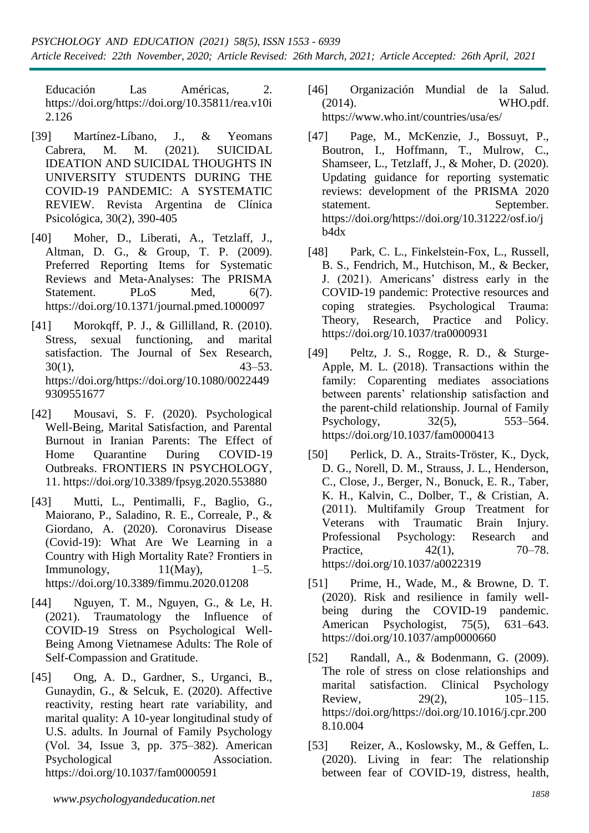Educación Las Américas, 2. https://doi.org/https://doi.org/10.35811/rea.v10i 2.126

- [39] Martínez-Líbano, J., & Yeomans Cabrera, M. M. (2021). SUICIDAL IDEATION AND SUICIDAL THOUGHTS IN UNIVERSITY STUDENTS DURING THE COVID-19 PANDEMIC: A SYSTEMATIC REVIEW. Revista Argentina de Clínica Psicológica, 30(2), 390-405
- [40] Moher, D., Liberati, A., Tetzlaff, J., Altman, D. G., & Group, T. P. (2009). Preferred Reporting Items for Systematic Reviews and Meta-Analyses: The PRISMA Statement. PLoS Med, 6(7). https://doi.org/10.1371/journal.pmed.1000097
- [41] Morokqff, P. J., & Gillilland, R. (2010). Stress, sexual functioning, and marital satisfaction. The Journal of Sex Research, 30(1), 43–53. https://doi.org/https://doi.org/10.1080/0022449 9309551677
- [42] Mousavi, S. F. (2020). Psychological Well-Being, Marital Satisfaction, and Parental Burnout in Iranian Parents: The Effect of Home Quarantine During COVID-19 Outbreaks. FRONTIERS IN PSYCHOLOGY, 11. https://doi.org/10.3389/fpsyg.2020.553880
- [43] Mutti, L., Pentimalli, F., Baglio, G., Maiorano, P., Saladino, R. E., Correale, P., & Giordano, A. (2020). Coronavirus Disease (Covid-19): What Are We Learning in a Country with High Mortality Rate? Frontiers in Immunology,  $11(Mav)$ ,  $1-5$ . https://doi.org/10.3389/fimmu.2020.01208
- [44] Nguyen, T. M., Nguyen, G., & Le, H. (2021). Traumatology the Influence of COVID-19 Stress on Psychological Well-Being Among Vietnamese Adults: The Role of Self-Compassion and Gratitude.
- [45] Ong, A. D., Gardner, S., Urganci, B., Gunaydin, G., & Selcuk, E. (2020). Affective reactivity, resting heart rate variability, and marital quality: A 10-year longitudinal study of U.S. adults. In Journal of Family Psychology (Vol. 34, Issue 3, pp. 375–382). American Psychological Association. https://doi.org/10.1037/fam0000591
- [46] Organización Mundial de la Salud. (2014). WHO.pdf. https://www.who.int/countries/usa/es/
- [47] Page, M., McKenzie, J., Bossuyt, P., Boutron, I., Hoffmann, T., Mulrow, C., Shamseer, L., Tetzlaff, J., & Moher, D. (2020). Updating guidance for reporting systematic reviews: development of the PRISMA 2020 statement. September. https://doi.org/https://doi.org/10.31222/osf.io/j b4dx
- [48] Park, C. L., Finkelstein-Fox, L., Russell, B. S., Fendrich, M., Hutchison, M., & Becker, J. (2021). Americans' distress early in the COVID-19 pandemic: Protective resources and coping strategies. Psychological Trauma: Theory, Research, Practice and Policy. https://doi.org/10.1037/tra0000931
- [49] Peltz, J. S., Rogge, R. D., & Sturge-Apple, M. L. (2018). Transactions within the family: Coparenting mediates associations between parents' relationship satisfaction and the parent-child relationship. Journal of Family Psychology, 32(5), 553–564. https://doi.org/10.1037/fam0000413
- [50] Perlick, D. A., Straits-Tröster, K., Dyck, D. G., Norell, D. M., Strauss, J. L., Henderson, C., Close, J., Berger, N., Bonuck, E. R., Taber, K. H., Kalvin, C., Dolber, T., & Cristian, A. (2011). Multifamily Group Treatment for Veterans with Traumatic Brain Injury. Professional Psychology: Research and Practice, 42(1), 70–78. https://doi.org/10.1037/a0022319
- [51] Prime, H., Wade, M., & Browne, D. T. (2020). Risk and resilience in family wellbeing during the COVID-19 pandemic. American Psychologist, 75(5), 631–643. https://doi.org/10.1037/amp0000660
- [52] Randall, A., & Bodenmann, G. (2009). The role of stress on close relationships and marital satisfaction. Clinical Psychology Review, 29(2), 105–115. https://doi.org/https://doi.org/10.1016/j.cpr.200 8.10.004
- [53] Reizer, A., Koslowsky, M., & Geffen, L. (2020). Living in fear: The relationship between fear of COVID-19, distress, health,

*<sup>1858</sup> www.psychologyandeducation.net*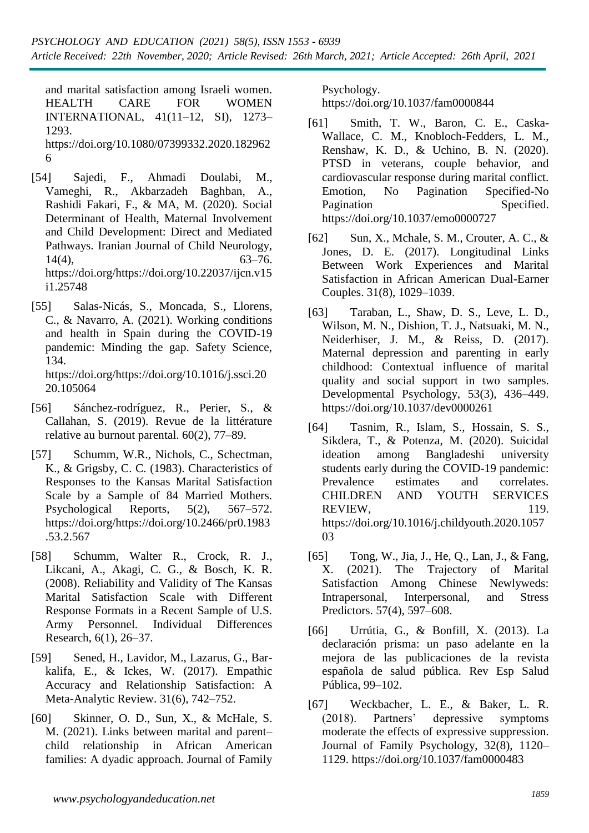and marital satisfaction among Israeli women. HEALTH CARE FOR WOMEN INTERNATIONAL, 41(11–12, SI), 1273– 1293.

https://doi.org/10.1080/07399332.2020.182962 6

- [54] Sajedi, F., Ahmadi Doulabi, M., Vameghi, R., Akbarzadeh Baghban, A., Rashidi Fakari, F., & MA, M. (2020). Social Determinant of Health, Maternal Involvement and Child Development: Direct and Mediated Pathways. Iranian Journal of Child Neurology,  $14(4)$ , 63–76. https://doi.org/https://doi.org/10.22037/ijcn.v15 i1.25748
- [55] Salas-Nicás, S., Moncada, S., Llorens, C., & Navarro, A. (2021). Working conditions and health in Spain during the COVID-19 pandemic: Minding the gap. Safety Science, 134. https://doi.org/https://doi.org/10.1016/j.ssci.20

20.105064

- [56] Sánchez-rodríguez, R., Perier, S., & Callahan, S. (2019). Revue de la littérature relative au burnout parental. 60(2), 77–89.
- [57] Schumm, W.R., Nichols, C., Schectman, K., & Grigsby, C. C. (1983). Characteristics of Responses to the Kansas Marital Satisfaction Scale by a Sample of 84 Married Mothers. Psychological Reports, 5(2), 567–572. https://doi.org/https://doi.org/10.2466/pr0.1983 .53.2.567
- [58] Schumm, Walter R., Crock, R. J., Likcani, A., Akagi, C. G., & Bosch, K. R. (2008). Reliability and Validity of The Kansas Marital Satisfaction Scale with Different Response Formats in a Recent Sample of U.S. Army Personnel. Individual Differences Research, 6(1), 26–37.
- [59] Sened, H., Lavidor, M., Lazarus, G., Barkalifa, E., & Ickes, W. (2017). Empathic Accuracy and Relationship Satisfaction: A Meta-Analytic Review. 31(6), 742–752.
- [60] Skinner, O. D., Sun, X., & McHale, S. M. (2021). Links between marital and parent– child relationship in African American families: A dyadic approach. Journal of Family

Psychology. https://doi.org/10.1037/fam0000844

- [61] Smith, T. W., Baron, C. E., Caska-Wallace, C. M., Knobloch-Fedders, L. M., Renshaw, K. D., & Uchino, B. N. (2020). PTSD in veterans, couple behavior, and cardiovascular response during marital conflict. Emotion, No Pagination Specified-No Pagination Specified. https://doi.org/10.1037/emo0000727
- [62] Sun, X., Mchale, S. M., Crouter, A. C., & Jones, D. E. (2017). Longitudinal Links Between Work Experiences and Marital Satisfaction in African American Dual-Earner Couples. 31(8), 1029–1039.
- [63] Taraban, L., Shaw, D. S., Leve, L. D., Wilson, M. N., Dishion, T. J., Natsuaki, M. N., Neiderhiser, J. M., & Reiss, D. (2017). Maternal depression and parenting in early childhood: Contextual influence of marital quality and social support in two samples. Developmental Psychology, 53(3), 436–449. https://doi.org/10.1037/dev0000261
- [64] Tasnim, R., Islam, S., Hossain, S. S., Sikdera, T., & Potenza, M. (2020). Suicidal ideation among Bangladeshi university students early during the COVID-19 pandemic: Prevalence estimates and correlates. CHILDREN AND YOUTH SERVICES REVIEW, 119. https://doi.org/10.1016/j.childyouth.2020.1057 03
- [65] Tong, W., Jia, J., He, Q., Lan, J., & Fang, X. (2021). The Trajectory of Marital Satisfaction Among Chinese Newlyweds: Intrapersonal, Interpersonal, and Stress Predictors. 57(4), 597–608.
- [66] Urrútia, G., & Bonfill, X. (2013). La declaración prisma: un paso adelante en la mejora de las publicaciones de la revista española de salud pública. Rev Esp Salud Pública, 99–102.
- [67] Weckbacher, L. E., & Baker, L. R. (2018). Partners' depressive symptoms moderate the effects of expressive suppression. Journal of Family Psychology, 32(8), 1120– 1129. https://doi.org/10.1037/fam0000483